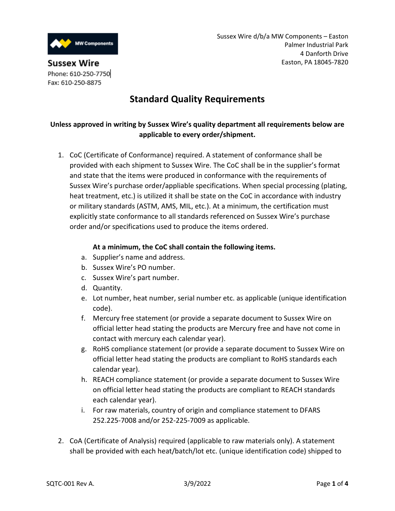

**Sussex Wire** Phone: 610-250-7750 Fax: 610-250-8875

# **Standard Quality Requirements**

## **Unless approved in writing by Sussex Wire's quality department all requirements below are applicable to every order/shipment.**

1. CoC (Certificate of Conformance) required. A statement of conformance shall be provided with each shipment to Sussex Wire. The CoC shall be in the supplier's format and state that the items were produced in conformance with the requirements of Sussex Wire's purchase order/appliable specifications. When special processing (plating, heat treatment, etc.) is utilized it shall be state on the CoC in accordance with industry or military standards (ASTM, AMS, MIL, etc.). At a minimum, the certification must explicitly state conformance to all standards referenced on Sussex Wire's purchase order and/or specifications used to produce the items ordered.

## **At a minimum, the CoC shall contain the following items.**

- a. Supplier's name and address.
- b. Sussex Wire's PO number.
- c. Sussex Wire's part number.
- d. Quantity.
- e. Lot number, heat number, serial number etc. as applicable (unique identification code).
- f. Mercury free statement (or provide a separate document to Sussex Wire on official letter head stating the products are Mercury free and have not come in contact with mercury each calendar year).
- g. RoHS compliance statement (or provide a separate document to Sussex Wire on official letter head stating the products are compliant to RoHS standards each calendar year).
- h. REACH compliance statement (or provide a separate document to Sussex Wire on official letter head stating the products are compliant to REACH standards each calendar year).
- i. For raw materials, country of origin and compliance statement to DFARS 252.225-7008 and/or 252-225-7009 as applicable.
- 2. CoA (Certificate of Analysis) required (applicable to raw materials only). A statement shall be provided with each heat/batch/lot etc. (unique identification code) shipped to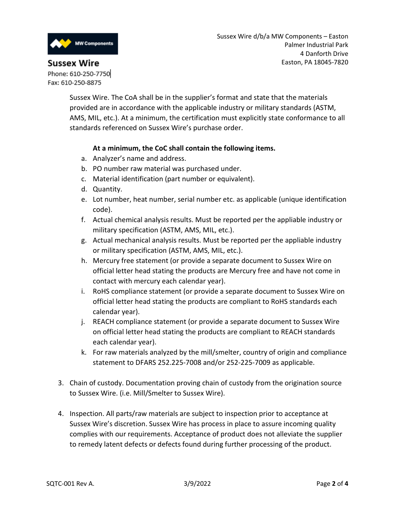

## **Sussex Wire**

Phone: 610-250-7750 Fax: 610-250-8875

> Sussex Wire. The CoA shall be in the supplier's format and state that the materials provided are in accordance with the applicable industry or military standards (ASTM, AMS, MIL, etc.). At a minimum, the certification must explicitly state conformance to all standards referenced on Sussex Wire's purchase order.

## **At a minimum, the CoC shall contain the following items.**

- a. Analyzer's name and address.
- b. PO number raw material was purchased under.
- c. Material identification (part number or equivalent).
- d. Quantity.
- e. Lot number, heat number, serial number etc. as applicable (unique identification code).
- f. Actual chemical analysis results. Must be reported per the appliable industry or military specification (ASTM, AMS, MIL, etc.).
- g. Actual mechanical analysis results. Must be reported per the appliable industry or military specification (ASTM, AMS, MIL, etc.).
- h. Mercury free statement (or provide a separate document to Sussex Wire on official letter head stating the products are Mercury free and have not come in contact with mercury each calendar year).
- i. RoHS compliance statement (or provide a separate document to Sussex Wire on official letter head stating the products are compliant to RoHS standards each calendar year).
- j. REACH compliance statement (or provide a separate document to Sussex Wire on official letter head stating the products are compliant to REACH standards each calendar year).
- k. For raw materials analyzed by the mill/smelter, country of origin and compliance statement to DFARS 252.225-7008 and/or 252-225-7009 as applicable.
- 3. Chain of custody. Documentation proving chain of custody from the origination source to Sussex Wire. (i.e. Mill/Smelter to Sussex Wire).
- 4. Inspection. All parts/raw materials are subject to inspection prior to acceptance at Sussex Wire's discretion. Sussex Wire has process in place to assure incoming quality complies with our requirements. Acceptance of product does not alleviate the supplier to remedy latent defects or defects found during further processing of the product.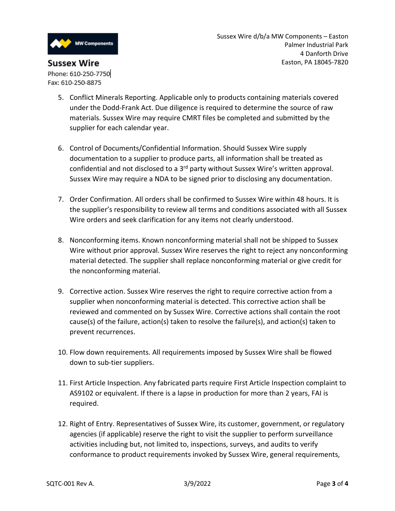

- 5. Conflict Minerals Reporting. Applicable only to products containing materials covered under the Dodd-Frank Act. Due diligence is required to determine the source of raw materials. Sussex Wire may require CMRT files be completed and submitted by the supplier for each calendar year.
- 6. Control of Documents/Confidential Information. Should Sussex Wire supply documentation to a supplier to produce parts, all information shall be treated as confidential and not disclosed to a 3<sup>rd</sup> party without Sussex Wire's written approval. Sussex Wire may require a NDA to be signed prior to disclosing any documentation.
- 7. Order Confirmation. All orders shall be confirmed to Sussex Wire within 48 hours. It is the supplier's responsibility to review all terms and conditions associated with all Sussex Wire orders and seek clarification for any items not clearly understood.
- 8. Nonconforming items. Known nonconforming material shall not be shipped to Sussex Wire without prior approval. Sussex Wire reserves the right to reject any nonconforming material detected. The supplier shall replace nonconforming material or give credit for the nonconforming material.
- 9. Corrective action. Sussex Wire reserves the right to require corrective action from a supplier when nonconforming material is detected. This corrective action shall be reviewed and commented on by Sussex Wire. Corrective actions shall contain the root cause(s) of the failure, action(s) taken to resolve the failure(s), and action(s) taken to prevent recurrences.
- 10. Flow down requirements. All requirements imposed by Sussex Wire shall be flowed down to sub-tier suppliers.
- 11. First Article Inspection. Any fabricated parts require First Article Inspection complaint to AS9102 or equivalent. If there is a lapse in production for more than 2 years, FAI is required.
- 12. Right of Entry. Representatives of Sussex Wire, its customer, government, or regulatory agencies (if applicable) reserve the right to visit the supplier to perform surveillance activities including but, not limited to, inspections, surveys, and audits to verify conformance to product requirements invoked by Sussex Wire, general requirements,